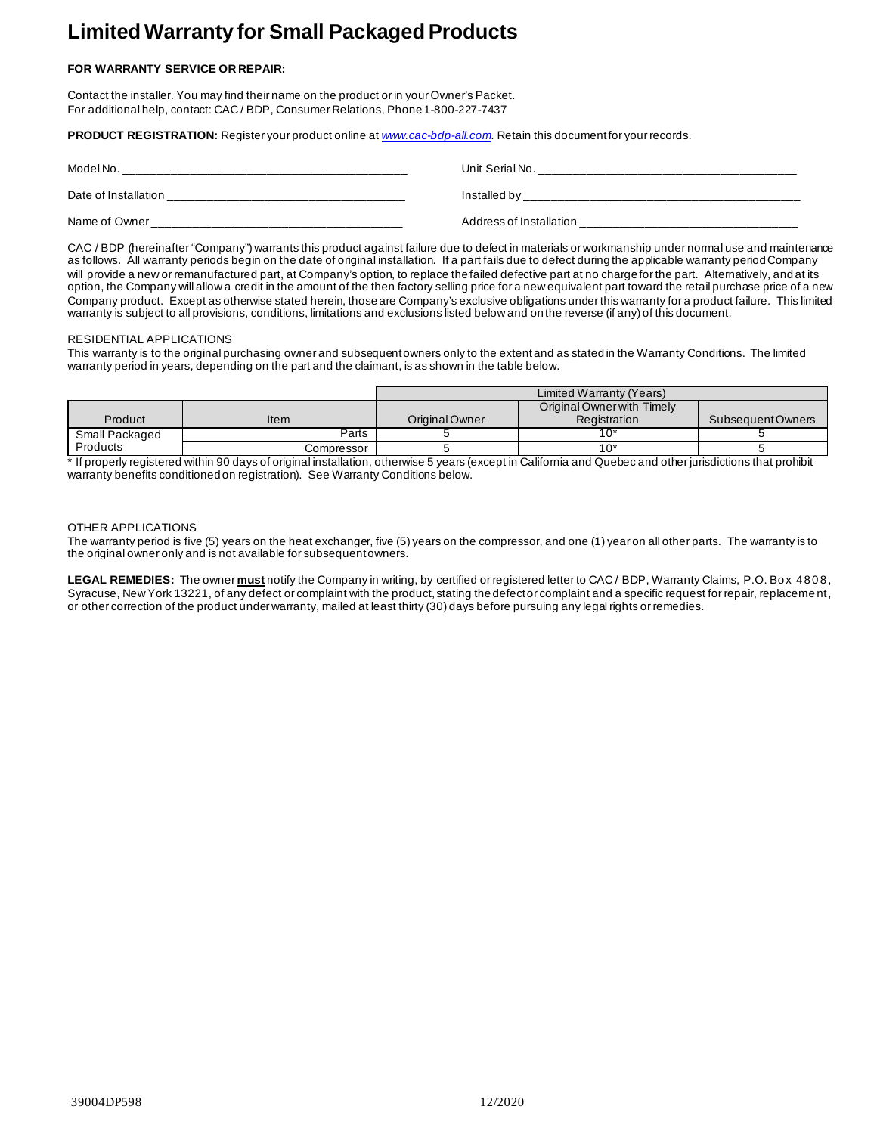# **Limited Warranty for Small Packaged Products**

# **FOR WARRANTY SERVICE OR REPAIR:**

Contact the installer. You may find their name on the product or in your Owner's Packet. For additional help, contact: CAC / BDP, Consumer Relations, Phone 1-800-227-7437

**PRODUCT REGISTRATION:** Register your product online at *[www.cac-bdp-all.com](http://www.cac-bdp-all.com/).* Retain this document for your records.

| Model No.            | Unit Serial No.         |
|----------------------|-------------------------|
| Date of Installation | Installed by            |
| Name of Owner        | Address of Installation |

CAC / BDP (hereinafter "Company") warrants this product against failure due to defect in materials or workmanship under normal use and maintenance as follows. All warranty periods begin on the date of original installation. If a part fails due to defect during the applicable warranty period Company will provide a new or remanufactured part, at Company's option, to replace the failed defective part at no charge for the part. Alternatively, and at its option, the Company will allow a credit in the amount of the then factory selling price for a new equivalent part toward the retail purchase price of a new Company product. Except as otherwise stated herein, those are Company's exclusive obligations under this warranty for a product failure. This limited warranty is subject to all provisions, conditions, limitations and exclusions listed below and on the reverse (if any) of this document.

#### RESIDENTIAL APPLICATIONS

This warranty is to the original purchasing owner and subsequent owners only to the extent and as stated in the Warranty Conditions. The limited warranty period in years, depending on the part and the claimant, is as shown in the table below.

|                |            | Limited Warranty (Years) |                            |                  |
|----------------|------------|--------------------------|----------------------------|------------------|
|                |            |                          | Original Owner with Timely |                  |
| Product        | Item       | Original Owner           | <b>Registration</b>        | SubsequentOwners |
| Small Packaged | Parts      |                          | 10*                        |                  |
| Products       | Compressor |                          | 10*                        |                  |

\* If properly registered within 90 days of original installation, otherwise 5 years (except in California and Quebec and other jurisdictions that prohibit warranty benefits conditioned on registration). See Warranty Conditions below.

# OTHER APPLICATIONS

The warranty period is five (5) years on the heat exchanger, five (5) years on the compressor, and one (1) year on all other parts. The warranty is to the original owner only and is not available for subsequent owners.

LEGAL REMEDIES: The owner must notify the Company in writing, by certified or registered letter to CAC/ BDP, Warranty Claims, P.O. Bo x 4808, Syracuse, New York 13221, of any defect or complaint with the product, stating the defect or complaint and a specific request for repair, replacement, or other correction of the product under warranty, mailed at least thirty (30) days before pursuing any legal rights or remedies.